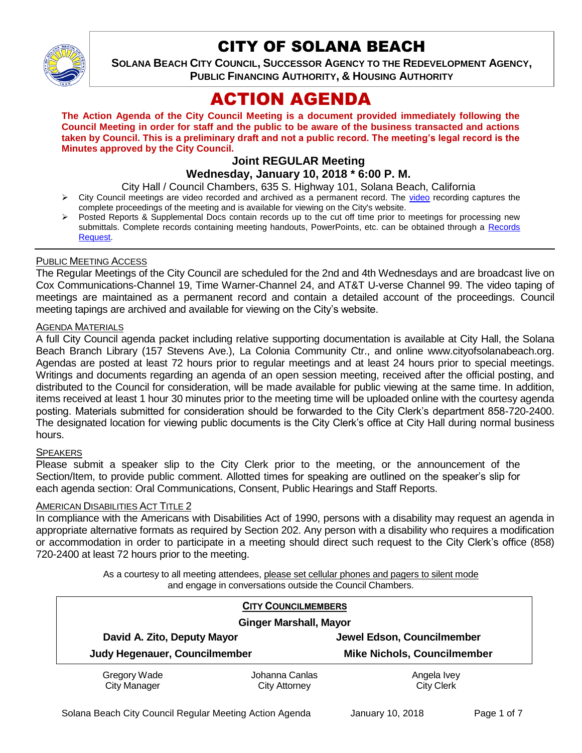

# CITY OF SOLANA BEACH

**SOLANA BEACH CITY COUNCIL, SUCCESSOR AGENCY TO THE REDEVELOPMENT AGENCY, PUBLIC FINANCING AUTHORITY, & HOUSING AUTHORITY** 

# ACTION AGENDA

**The Action Agenda of the City Council Meeting is a document provided immediately following the Council Meeting in order for staff and the public to be aware of the business transacted and actions taken by Council. This is a preliminary draft and not a public record. The meeting's legal record is the Minutes approved by the City Council.**

# **Joint REGULAR Meeting**

# **Wednesday, January 10, 2018 \* 6:00 P. M.**

City Hall / Council Chambers, 635 S. Highway 101, Solana Beach, California

- > City Council meetings are [video](https://solanabeach.12milesout.com/video/meeting/25a87cb5-abf6-4833-bf50-fa310bd1a01c) recorded and archived as a permanent record. The video recording captures the complete proceedings of the meeting and is available for viewing on the City's website.
- Posted Reports & Supplemental Docs contain records up to the cut off time prior to meetings for processing new submittals. Complete records containing meeting handouts, PowerPoints, etc. can be obtained through a [Records](http://www.ci.solana-beach.ca.us/index.asp?SEC=F5D45D10-70CE-4291-A27C-7BD633FC6742&Type=B_BASIC)  [Request.](http://www.ci.solana-beach.ca.us/index.asp?SEC=F5D45D10-70CE-4291-A27C-7BD633FC6742&Type=B_BASIC)

## PUBLIC MEETING ACCESS

The Regular Meetings of the City Council are scheduled for the 2nd and 4th Wednesdays and are broadcast live on Cox Communications-Channel 19, Time Warner-Channel 24, and AT&T U-verse Channel 99. The video taping of meetings are maintained as a permanent record and contain a detailed account of the proceedings. Council meeting tapings are archived and available for viewing on the City's website.

#### AGENDA MATERIALS

A full City Council agenda packet including relative supporting documentation is available at City Hall, the Solana Beach Branch Library (157 Stevens Ave.), La Colonia Community Ctr., and online www.cityofsolanabeach.org. Agendas are posted at least 72 hours prior to regular meetings and at least 24 hours prior to special meetings. Writings and documents regarding an agenda of an open session meeting, received after the official posting, and distributed to the Council for consideration, will be made available for public viewing at the same time. In addition, items received at least 1 hour 30 minutes prior to the meeting time will be uploaded online with the courtesy agenda posting. Materials submitted for consideration should be forwarded to the City Clerk's department 858-720-2400. The designated location for viewing public documents is the City Clerk's office at City Hall during normal business hours.

#### SPEAKERS

Please submit a speaker slip to the City Clerk prior to the meeting, or the announcement of the Section/Item, to provide public comment. Allotted times for speaking are outlined on the speaker's slip for each agenda section: Oral Communications, Consent, Public Hearings and Staff Reports.

#### **AMERICAN DISABILITIES ACT TITLE 2**

In compliance with the Americans with Disabilities Act of 1990, persons with a disability may request an agenda in appropriate alternative formats as required by Section 202. Any person with a disability who requires a modification or accommodation in order to participate in a meeting should direct such request to the City Clerk's office (858) 720-2400 at least 72 hours prior to the meeting.

> As a courtesy to all meeting attendees, please set cellular phones and pagers to silent mode and engage in conversations outside the Council Chambers.

| <b>CITY COUNCILMEMBERS</b><br><b>Ginger Marshall, Mayor</b> |                                 |                                    |
|-------------------------------------------------------------|---------------------------------|------------------------------------|
|                                                             |                                 |                                    |
| Judy Hegenauer, Councilmember                               |                                 | <b>Mike Nichols, Councilmember</b> |
| Gregory Wade<br><b>City Manager</b>                         | Johanna Canlas<br>City Attorney | Angela Ivey<br><b>City Clerk</b>   |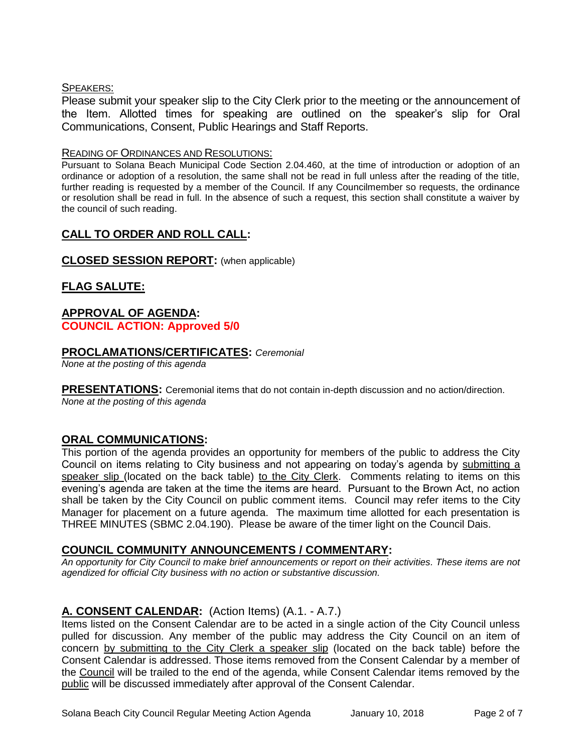## SPEAKERS:

Please submit your speaker slip to the City Clerk prior to the meeting or the announcement of the Item. Allotted times for speaking are outlined on the speaker's slip for Oral Communications, Consent, Public Hearings and Staff Reports.

#### READING OF ORDINANCES AND RESOLUTIONS:

Pursuant to Solana Beach Municipal Code Section 2.04.460, at the time of introduction or adoption of an ordinance or adoption of a resolution, the same shall not be read in full unless after the reading of the title, further reading is requested by a member of the Council. If any Councilmember so requests, the ordinance or resolution shall be read in full. In the absence of such a request, this section shall constitute a waiver by the council of such reading.

# **CALL TO ORDER AND ROLL CALL:**

## **CLOSED SESSION REPORT:** (when applicable)

# **FLAG SALUTE:**

## **APPROVAL OF AGENDA: COUNCIL ACTION: Approved 5/0**

#### **PROCLAMATIONS/CERTIFICATES:** *Ceremonial*

*None at the posting of this agenda*

**PRESENTATIONS:** Ceremonial items that do not contain in-depth discussion and no action/direction. *None at the posting of this agenda*

## **ORAL COMMUNICATIONS:**

This portion of the agenda provides an opportunity for members of the public to address the City Council on items relating to City business and not appearing on today's agenda by submitting a speaker slip (located on the back table) to the City Clerk. Comments relating to items on this evening's agenda are taken at the time the items are heard. Pursuant to the Brown Act, no action shall be taken by the City Council on public comment items. Council may refer items to the City Manager for placement on a future agenda. The maximum time allotted for each presentation is THREE MINUTES (SBMC 2.04.190). Please be aware of the timer light on the Council Dais.

## **COUNCIL COMMUNITY ANNOUNCEMENTS / COMMENTARY:**

*An opportunity for City Council to make brief announcements or report on their activities. These items are not agendized for official City business with no action or substantive discussion.* 

# **A. CONSENT CALENDAR:** (Action Items) (A.1. - A.7.)

Items listed on the Consent Calendar are to be acted in a single action of the City Council unless pulled for discussion. Any member of the public may address the City Council on an item of concern by submitting to the City Clerk a speaker slip (located on the back table) before the Consent Calendar is addressed. Those items removed from the Consent Calendar by a member of the Council will be trailed to the end of the agenda, while Consent Calendar items removed by the public will be discussed immediately after approval of the Consent Calendar.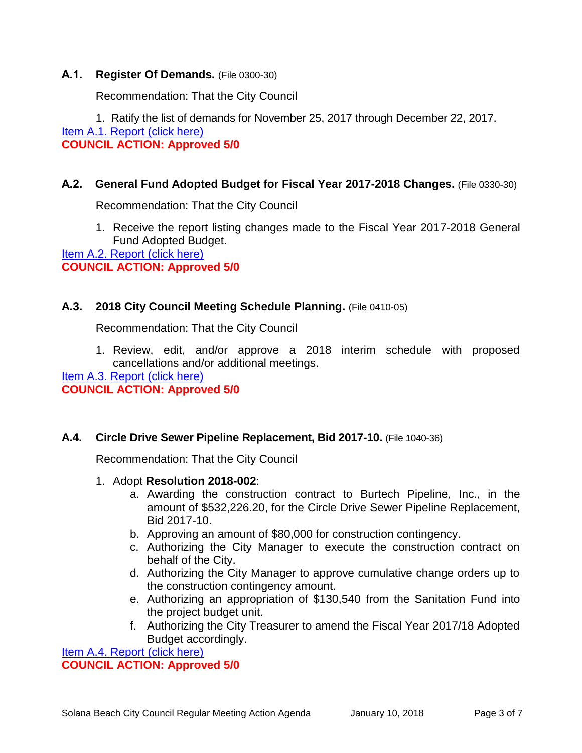# **A.1. Register Of Demands.** (File 0300-30)

Recommendation: That the City Council

1. Ratify the list of demands for November 25, 2017 through December 22, 2017. [Item A.1. Report \(click here\)](https://solanabeach.govoffice3.com/vertical/Sites/%7B840804C2-F869-4904-9AE3-720581350CE7%7D/uploads/Item_A.1._Report_(click_here)_-_1-10-18.PDF)

**COUNCIL ACTION: Approved 5/0**

# **A.2. General Fund Adopted Budget for Fiscal Year 2017-2018 Changes.** (File 0330-30)

Recommendation: That the City Council

1. Receive the report listing changes made to the Fiscal Year 2017-2018 General Fund Adopted Budget.

[Item A.2. Report \(click here\)](https://solanabeach.govoffice3.com/vertical/Sites/%7B840804C2-F869-4904-9AE3-720581350CE7%7D/uploads/Item_A.2._Report_(click_here)_-_1-10-18.PDF) **COUNCIL ACTION: Approved 5/0**

# **A.3. 2018 City Council Meeting Schedule Planning.** (File 0410-05)

Recommendation: That the City Council

1. Review, edit, and/or approve a 2018 interim schedule with proposed cancellations and/or additional meetings.

[Item A.3. Report \(click here\)](https://solanabeach.govoffice3.com/vertical/Sites/%7B840804C2-F869-4904-9AE3-720581350CE7%7D/uploads/Item_A.3._Report_(click_here)_-_1-10-18.PDF) **COUNCIL ACTION: Approved 5/0**

# **A.4. Circle Drive Sewer Pipeline Replacement, Bid 2017-10.** (File 1040-36)

Recommendation: That the City Council

- 1. Adopt **Resolution 2018-002**:
	- a. Awarding the construction contract to Burtech Pipeline, Inc., in the amount of \$532,226.20, for the Circle Drive Sewer Pipeline Replacement, Bid 2017-10.
	- b. Approving an amount of \$80,000 for construction contingency.
	- c. Authorizing the City Manager to execute the construction contract on behalf of the City.
	- d. Authorizing the City Manager to approve cumulative change orders up to the construction contingency amount.
	- e. Authorizing an appropriation of \$130,540 from the Sanitation Fund into the project budget unit.
	- f. Authorizing the City Treasurer to amend the Fiscal Year 2017/18 Adopted Budget accordingly.

[Item A.4. Report \(click here\)](https://solanabeach.govoffice3.com/vertical/Sites/%7B840804C2-F869-4904-9AE3-720581350CE7%7D/uploads/Item_A.4._Report_(click_here)_-_1-10-18.PDF) **COUNCIL ACTION: Approved 5/0**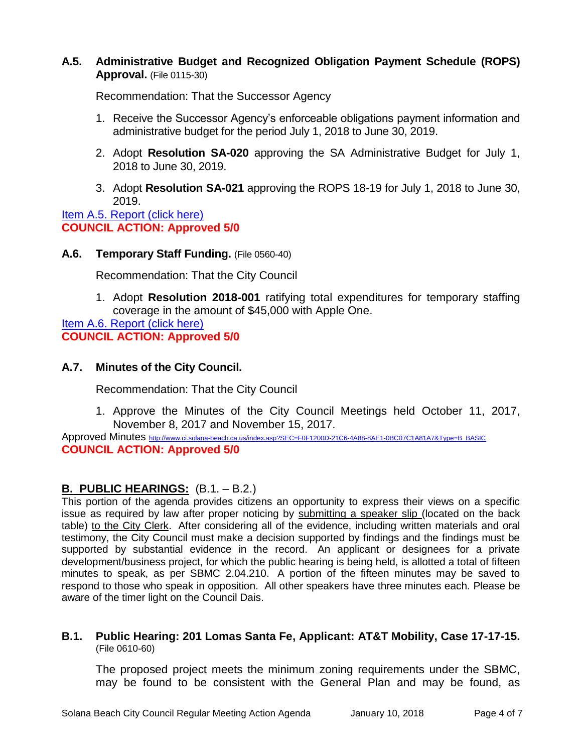# **A.5. Administrative Budget and Recognized Obligation Payment Schedule (ROPS) Approval.** (File 0115-30)

Recommendation: That the Successor Agency

- 1. Receive the Successor Agency's enforceable obligations payment information and administrative budget for the period July 1, 2018 to June 30, 2019.
- 2. Adopt **Resolution SA-020** approving the SA Administrative Budget for July 1, 2018 to June 30, 2019.
- 3. Adopt **Resolution SA-021** approving the ROPS 18-19 for July 1, 2018 to June 30, 2019.

[Item A.5. Report \(click here\)](https://solanabeach.govoffice3.com/vertical/Sites/%7B840804C2-F869-4904-9AE3-720581350CE7%7D/uploads/Item_A.5._Report_(click_here)_-_1-10-18.PDF) **COUNCIL ACTION: Approved 5/0**

## **A.6. Temporary Staff Funding.** (File 0560-40)

Recommendation: That the City Council

1. Adopt **Resolution 2018-001** ratifying total expenditures for temporary staffing coverage in the amount of \$45,000 with Apple One.

[Item A.6. Report \(click here\)](https://solanabeach.govoffice3.com/vertical/Sites/%7B840804C2-F869-4904-9AE3-720581350CE7%7D/uploads/Item_A.6_Report_(click_here)_-_1-10-18.PDF) **COUNCIL ACTION: Approved 5/0**

# **A.7. Minutes of the City Council.**

Recommendation: That the City Council

1. Approve the Minutes of the City Council Meetings held October 11, 2017, November 8, 2017 and November 15, 2017.

Approved Minutes [http://www.ci.solana-beach.ca.us/index.asp?SEC=F0F1200D-21C6-4A88-8AE1-0BC07C1A81A7&Type=B\\_BASIC](http://www.ci.solana-beach.ca.us/index.asp?SEC=F0F1200D-21C6-4A88-8AE1-0BC07C1A81A7&Type=B_BASIC) **COUNCIL ACTION: Approved 5/0**

# **B. PUBLIC HEARINGS:** (B.1. – B.2.)

This portion of the agenda provides citizens an opportunity to express their views on a specific issue as required by law after proper noticing by submitting a speaker slip (located on the back table) to the City Clerk. After considering all of the evidence, including written materials and oral testimony, the City Council must make a decision supported by findings and the findings must be supported by substantial evidence in the record. An applicant or designees for a private development/business project, for which the public hearing is being held, is allotted a total of fifteen minutes to speak, as per SBMC 2.04.210. A portion of the fifteen minutes may be saved to respond to those who speak in opposition. All other speakers have three minutes each. Please be aware of the timer light on the Council Dais.

## **B.1. Public Hearing: 201 Lomas Santa Fe, Applicant: AT&T Mobility, Case 17-17-15.** (File 0610-60)

The proposed project meets the minimum zoning requirements under the SBMC, may be found to be consistent with the General Plan and may be found, as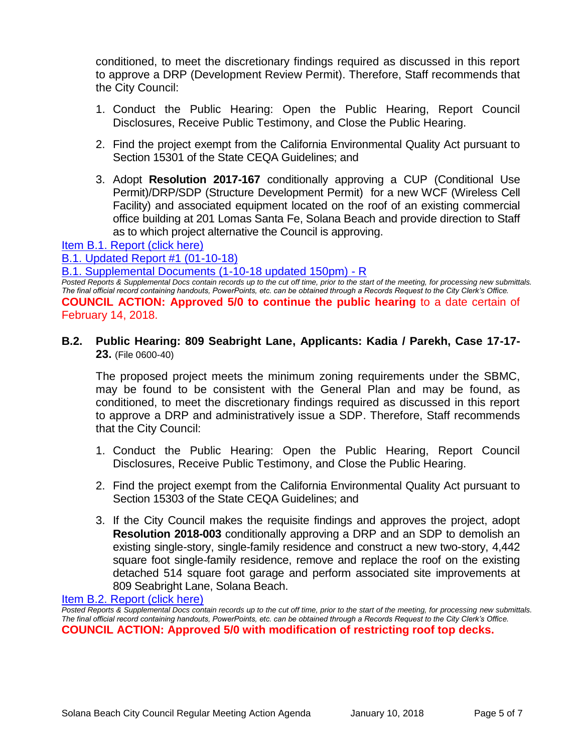conditioned, to meet the discretionary findings required as discussed in this report to approve a DRP (Development Review Permit). Therefore, Staff recommends that the City Council:

- 1. Conduct the Public Hearing: Open the Public Hearing, Report Council Disclosures, Receive Public Testimony, and Close the Public Hearing.
- 2. Find the project exempt from the California Environmental Quality Act pursuant to Section 15301 of the State CEQA Guidelines; and
- 3. Adopt **Resolution 2017-167** conditionally approving a CUP (Conditional Use Permit)/DRP/SDP (Structure Development Permit) for a new WCF (Wireless Cell Facility) and associated equipment located on the roof of an existing commercial office building at 201 Lomas Santa Fe, Solana Beach and provide direction to Staff as to which project alternative the Council is approving.

[Item B.1. Report \(click here\)](https://solanabeach.govoffice3.com/vertical/Sites/%7B840804C2-F869-4904-9AE3-720581350CE7%7D/uploads/Item_B.1._Report_(click_here)_-_1-10-18.PDF)

[B.1. Updated Report #1 \(01-10-18\)](https://solanabeach.govoffice3.com/vertical/Sites/%7B840804C2-F869-4904-9AE3-720581350CE7%7D/uploads/B.1._Updated_Report_1_-_01-10-18.pdf)

[B.1. Supplemental Documents \(1-10-18 updated 150pm\) -](https://solanabeach.govoffice3.com/vertical/Sites/%7B840804C2-F869-4904-9AE3-720581350CE7%7D/uploads/B.1._Supplemental_Documents_(1-10-18_updated_150pm)_-_R.pdf) R

*Posted Reports & Supplemental Docs contain records up to the cut off time, prior to the start of the meeting, for processing new submittals. The final official record containing handouts, PowerPoints, etc. can be obtained through a Records Request to the City Clerk's Office.* **COUNCIL ACTION: Approved 5/0 to continue the public hearing** to a date certain of February 14, 2018.

**B.2. Public Hearing: 809 Seabright Lane, Applicants: Kadia / Parekh, Case 17-17- 23.** (File 0600-40)

The proposed project meets the minimum zoning requirements under the SBMC, may be found to be consistent with the General Plan and may be found, as conditioned, to meet the discretionary findings required as discussed in this report to approve a DRP and administratively issue a SDP. Therefore, Staff recommends that the City Council:

- 1. Conduct the Public Hearing: Open the Public Hearing, Report Council Disclosures, Receive Public Testimony, and Close the Public Hearing.
- 2. Find the project exempt from the California Environmental Quality Act pursuant to Section 15303 of the State CEQA Guidelines; and
- 3. If the City Council makes the requisite findings and approves the project, adopt **Resolution 2018-003** conditionally approving a DRP and an SDP to demolish an existing single-story, single-family residence and construct a new two-story, 4,442 square foot single-family residence, remove and replace the roof on the existing detached 514 square foot garage and perform associated site improvements at 809 Seabright Lane, Solana Beach.

[Item B.2. Report \(click here\)](https://solanabeach.govoffice3.com/vertical/Sites/%7B840804C2-F869-4904-9AE3-720581350CE7%7D/uploads/Item_B.2._Report_(click_here)_-_1-10-18.PDF)

*Posted Reports & Supplemental Docs contain records up to the cut off time, prior to the start of the meeting, for processing new submittals. The final official record containing handouts, PowerPoints, etc. can be obtained through a Records Request to the City Clerk's Office.* **COUNCIL ACTION: Approved 5/0 with modification of restricting roof top decks.**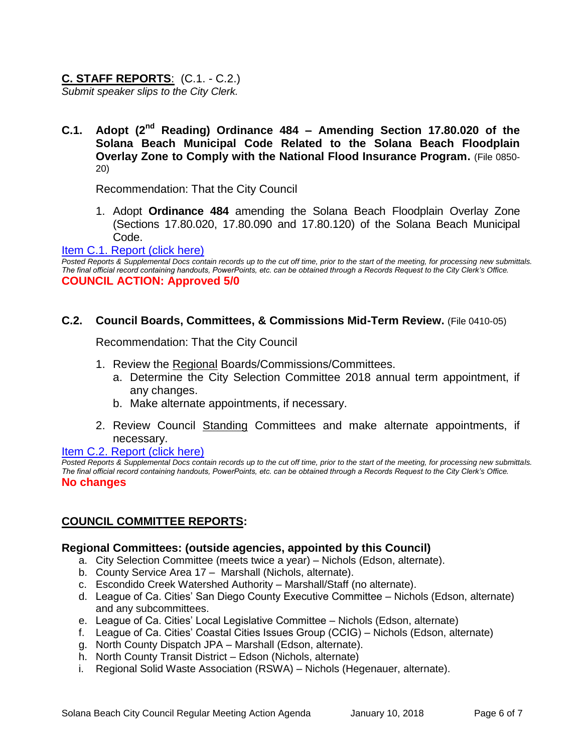# **C. STAFF REPORTS**: (C.1. - C.2.)

*Submit speaker slips to the City Clerk.*

**C.1. Adopt (2nd Reading) Ordinance 484 – Amending Section 17.80.020 of the Solana Beach Municipal Code Related to the Solana Beach Floodplain Overlay Zone to Comply with the National Flood Insurance Program.** (File 0850- 20)

Recommendation: That the City Council

1. Adopt **Ordinance 484** amending the Solana Beach Floodplain Overlay Zone (Sections 17.80.020, 17.80.090 and 17.80.120) of the Solana Beach Municipal Code.

[Item C.1. Report \(click here\)](https://solanabeach.govoffice3.com/vertical/Sites/%7B840804C2-F869-4904-9AE3-720581350CE7%7D/uploads/Item_C.1._Report_(click_here)_-_1-10-18.PDF)

*Posted Reports & Supplemental Docs contain records up to the cut off time, prior to the start of the meeting, for processing new submittals. The final official record containing handouts, PowerPoints, etc. can be obtained through a Records Request to the City Clerk's Office.* **COUNCIL ACTION: Approved 5/0**

## **C.2. Council Boards, Committees, & Commissions Mid-Term Review.** (File 0410-05)

Recommendation: That the City Council

- 1. Review the Regional Boards/Commissions/Committees.
	- a. Determine the City Selection Committee 2018 annual term appointment, if any changes.
	- b. Make alternate appointments, if necessary.
- 2. Review Council Standing Committees and make alternate appointments, if necessary.

#### [Item C.2. Report \(click here\)](https://solanabeach.govoffice3.com/vertical/Sites/%7B840804C2-F869-4904-9AE3-720581350CE7%7D/uploads/Item_C.2._Report_(click_here)_-_1-10-18.PDF)

*Posted Reports & Supplemental Docs contain records up to the cut off time, prior to the start of the meeting, for processing new submittals. The final official record containing handouts, PowerPoints, etc. can be obtained through a Records Request to the City Clerk's Office.* **No changes**

# **COUNCIL COMMITTEE REPORTS:**

## **Regional Committees: (outside agencies, appointed by this Council)**

- a. City Selection Committee (meets twice a year) Nichols (Edson, alternate).
- b. County Service Area 17 Marshall (Nichols, alternate).
- c. Escondido Creek Watershed Authority Marshall/Staff (no alternate).
- d. League of Ca. Cities' San Diego County Executive Committee Nichols (Edson, alternate) and any subcommittees.
- e. League of Ca. Cities' Local Legislative Committee Nichols (Edson, alternate)
- f. League of Ca. Cities' Coastal Cities Issues Group (CCIG) Nichols (Edson, alternate)
- g. North County Dispatch JPA Marshall (Edson, alternate).
- h. North County Transit District Edson (Nichols, alternate)
- i. Regional Solid Waste Association (RSWA) Nichols (Hegenauer, alternate).